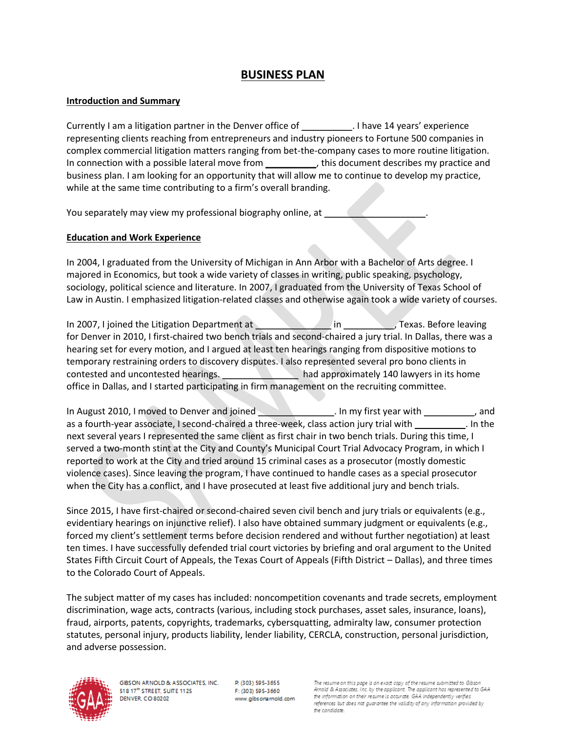# **BUSINESS PLAN**

#### **Introduction and Summary**

Currently I am a litigation partner in the Denver office of \_\_\_\_\_\_\_\_\_\_. I have 14 years' experience representing clients reaching from entrepreneurs and industry pioneers to Fortune 500 companies in complex commercial litigation matters ranging from bet-the-company cases to more routine litigation. In connection with a possible lateral move from \_\_\_\_\_\_\_\_\_\_\_, this document describes my practice and business plan. I am looking for an opportunity that will allow me to continue to develop my practice, while at the same time contributing to a firm's overall branding.

You separately may view my professional biography online, at

#### **Education and Work Experience**

In 2004, I graduated from the University of Michigan in Ann Arbor with a Bachelor of Arts degree. I majored in Economics, but took a wide variety of classes in writing, public speaking, psychology, sociology, political science and literature. In 2007, I graduated from the University of Texas School of Law in Austin. I emphasized litigation-related classes and otherwise again took a wide variety of courses.

In 2007, I joined the Litigation Department at **All and Strutter at All and Strutter**, Texas. Before leaving for Denver in 2010, I first-chaired two bench trials and second-chaired a jury trial. In Dallas, there was a hearing set for every motion, and I argued at least ten hearings ranging from dispositive motions to temporary restraining orders to discovery disputes. I also represented several pro bono clients in contested and uncontested hearings. The approximately 140 lawyers in its home office in Dallas, and I started participating in firm management on the recruiting committee.

In August 2010, I moved to Denver and joined **Example 2010** . In my first year with the same can and as a fourth-year associate, I second-chaired a three-week, class action jury trial with  $\ldots$  . In the next several years I represented the same client as first chair in two bench trials. During this time, I served a two-month stint at the City and County's Municipal Court Trial Advocacy Program, in which I reported to work at the City and tried around 15 criminal cases as a prosecutor (mostly domestic violence cases). Since leaving the program, I have continued to handle cases as a special prosecutor when the City has a conflict, and I have prosecuted at least five additional jury and bench trials.

Since 2015, I have first-chaired or second-chaired seven civil bench and jury trials or equivalents (e.g., evidentiary hearings on injunctive relief). I also have obtained summary judgment or equivalents (e.g., forced my client's settlement terms before decision rendered and without further negotiation) at least ten times. I have successfully defended trial court victories by briefing and oral argument to the United States Fifth Circuit Court of Appeals, the Texas Court of Appeals (Fifth District – Dallas), and three times to the Colorado Court of Appeals.

The subject matter of my cases has included: noncompetition covenants and trade secrets, employment discrimination, wage acts, contracts (various, including stock purchases, asset sales, insurance, loans), fraud, airports, patents, copyrights, trademarks, cybersquatting, admiralty law, consumer protection statutes, personal injury, products liability, lender liability, CERCLA, construction, personal jurisdiction, and adverse possession.



GIBSON ARNOLD & ASSOCIATES, INC. 518 17th STREET, SUITE 1125 **DENVER, CO 80202** 

P: (303) 595-3655 F: (303) 595-3660 www.gibsonarnold.com

me on this page is an exact copy of the resume submitted to Gibso. Arnold & Associates, Inc. by the applicant. The applicant has represented to GAA the information on their resume is accurate. GAA independently verifies references but does not guarantee the validity of any information provided by the candidate.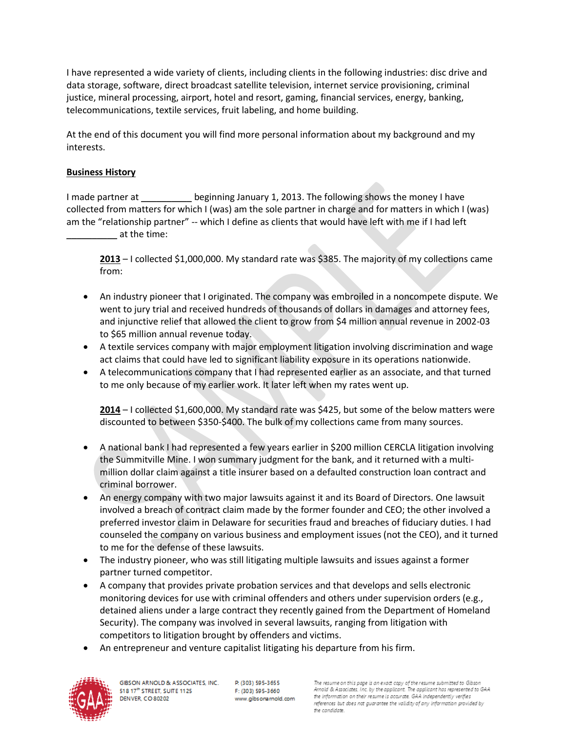I have represented a wide variety of clients, including clients in the following industries: disc drive and data storage, software, direct broadcast satellite television, internet service provisioning, criminal justice, mineral processing, airport, hotel and resort, gaming, financial services, energy, banking, telecommunications, textile services, fruit labeling, and home building.

At the end of this document you will find more personal information about my background and my interests.

## **Business History**

I made partner at **Example 2** beginning January 1, 2013. The following shows the money I have collected from matters for which I (was) am the sole partner in charge and for matters in which I (was) am the "relationship partner" -- which I define as clients that would have left with me if I had left \_\_\_\_\_\_\_\_\_\_ at the time:

**2013** – I collected \$1,000,000. My standard rate was \$385. The majority of my collections came from:

- An industry pioneer that I originated. The company was embroiled in a noncompete dispute. We went to jury trial and received hundreds of thousands of dollars in damages and attorney fees, and injunctive relief that allowed the client to grow from \$4 million annual revenue in 2002-03 to \$65 million annual revenue today.
- A textile services company with major employment litigation involving discrimination and wage act claims that could have led to significant liability exposure in its operations nationwide.
- A telecommunications company that I had represented earlier as an associate, and that turned to me only because of my earlier work. It later left when my rates went up.

**2014** – I collected \$1,600,000. My standard rate was \$425, but some of the below matters were discounted to between \$350-\$400. The bulk of my collections came from many sources.

- A national bank I had represented a few years earlier in \$200 million CERCLA litigation involving the Summitville Mine. I won summary judgment for the bank, and it returned with a multimillion dollar claim against a title insurer based on a defaulted construction loan contract and criminal borrower.
- An energy company with two major lawsuits against it and its Board of Directors. One lawsuit involved a breach of contract claim made by the former founder and CEO; the other involved a preferred investor claim in Delaware for securities fraud and breaches of fiduciary duties. I had counseled the company on various business and employment issues (not the CEO), and it turned to me for the defense of these lawsuits.
- The industry pioneer, who was still litigating multiple lawsuits and issues against a former partner turned competitor.
- A company that provides private probation services and that develops and sells electronic monitoring devices for use with criminal offenders and others under supervision orders (e.g., detained aliens under a large contract they recently gained from the Department of Homeland Security). The company was involved in several lawsuits, ranging from litigation with competitors to litigation brought by offenders and victims.
- An entrepreneur and venture capitalist litigating his departure from his firm.

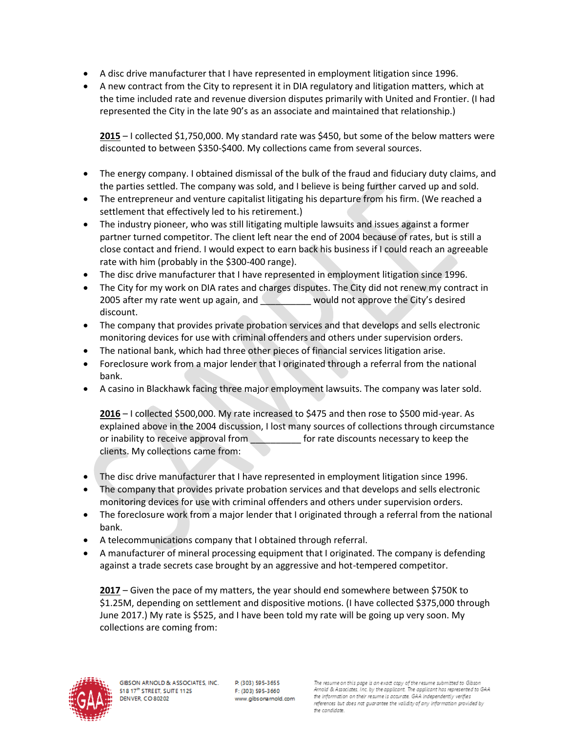- A disc drive manufacturer that I have represented in employment litigation since 1996.
- A new contract from the City to represent it in DIA regulatory and litigation matters, which at the time included rate and revenue diversion disputes primarily with United and Frontier. (I had represented the City in the late 90's as an associate and maintained that relationship.)

**2015** – I collected \$1,750,000. My standard rate was \$450, but some of the below matters were discounted to between \$350-\$400. My collections came from several sources.

- The energy company. I obtained dismissal of the bulk of the fraud and fiduciary duty claims, and the parties settled. The company was sold, and I believe is being further carved up and sold.
- The entrepreneur and venture capitalist litigating his departure from his firm. (We reached a settlement that effectively led to his retirement.)
- The industry pioneer, who was still litigating multiple lawsuits and issues against a former partner turned competitor. The client left near the end of 2004 because of rates, but is still a close contact and friend. I would expect to earn back his business if I could reach an agreeable rate with him (probably in the \$300-400 range).
- The disc drive manufacturer that I have represented in employment litigation since 1996.
- The City for my work on DIA rates and charges disputes. The City did not renew my contract in 2005 after my rate went up again, and **Letter Lie and Lie and World not approve** the City's desired discount.
- The company that provides private probation services and that develops and sells electronic monitoring devices for use with criminal offenders and others under supervision orders.
- The national bank, which had three other pieces of financial services litigation arise.
- Foreclosure work from a major lender that I originated through a referral from the national bank.
- A casino in Blackhawk facing three major employment lawsuits. The company was later sold.

**2016** – I collected \$500,000. My rate increased to \$475 and then rose to \$500 mid-year. As explained above in the 2004 discussion, I lost many sources of collections through circumstance or inability to receive approval from **the end of rate discounts necessary to keep the** clients. My collections came from:

- The disc drive manufacturer that I have represented in employment litigation since 1996.
- The company that provides private probation services and that develops and sells electronic monitoring devices for use with criminal offenders and others under supervision orders.
- The foreclosure work from a major lender that I originated through a referral from the national bank.
- A telecommunications company that I obtained through referral.
- A manufacturer of mineral processing equipment that I originated. The company is defending against a trade secrets case brought by an aggressive and hot-tempered competitor.

**2017** – Given the pace of my matters, the year should end somewhere between \$750K to \$1.25M, depending on settlement and dispositive motions. (I have collected \$375,000 through June 2017.) My rate is \$525, and I have been told my rate will be going up very soon. My collections are coming from:

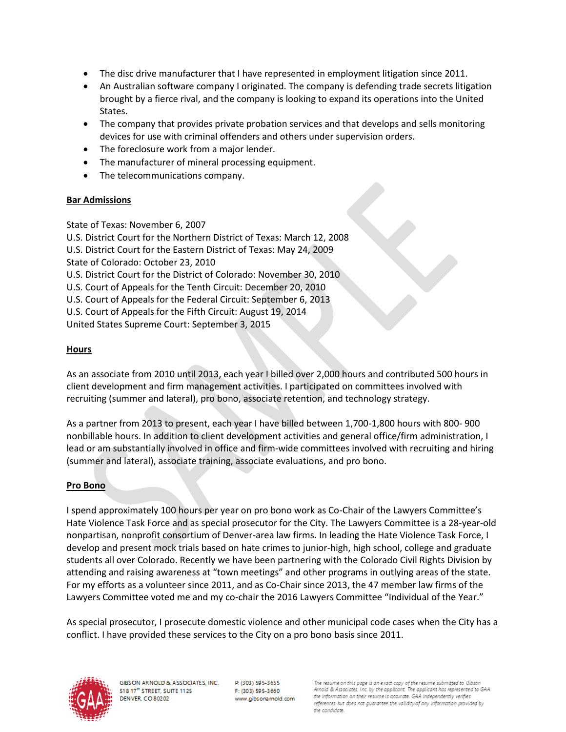- The disc drive manufacturer that I have represented in employment litigation since 2011.
- An Australian software company I originated. The company is defending trade secrets litigation brought by a fierce rival, and the company is looking to expand its operations into the United States.
- The company that provides private probation services and that develops and sells monitoring devices for use with criminal offenders and others under supervision orders.
- The foreclosure work from a major lender.
- The manufacturer of mineral processing equipment.
- The telecommunications company.

### **Bar Admissions**

State of Texas: November 6, 2007

U.S. District Court for the Northern District of Texas: March 12, 2008 U.S. District Court for the Eastern District of Texas: May 24, 2009 State of Colorado: October 23, 2010 U.S. District Court for the District of Colorado: November 30, 2010 U.S. Court of Appeals for the Tenth Circuit: December 20, 2010 U.S. Court of Appeals for the Federal Circuit: September 6, 2013 U.S. Court of Appeals for the Fifth Circuit: August 19, 2014 United States Supreme Court: September 3, 2015

### **Hours**

As an associate from 2010 until 2013, each year I billed over 2,000 hours and contributed 500 hours in client development and firm management activities. I participated on committees involved with recruiting (summer and lateral), pro bono, associate retention, and technology strategy.

As a partner from 2013 to present, each year I have billed between 1,700-1,800 hours with 800- 900 nonbillable hours. In addition to client development activities and general office/firm administration, I lead or am substantially involved in office and firm-wide committees involved with recruiting and hiring (summer and lateral), associate training, associate evaluations, and pro bono.

### **Pro Bono**

I spend approximately 100 hours per year on pro bono work as Co-Chair of the Lawyers Committee's Hate Violence Task Force and as special prosecutor for the City. The Lawyers Committee is a 28-year-old nonpartisan, nonprofit consortium of Denver-area law firms. In leading the Hate Violence Task Force, I develop and present mock trials based on hate crimes to junior-high, high school, college and graduate students all over Colorado. Recently we have been partnering with the Colorado Civil Rights Division by attending and raising awareness at "town meetings" and other programs in outlying areas of the state. For my efforts as a volunteer since 2011, and as Co-Chair since 2013, the 47 member law firms of the Lawyers Committee voted me and my co-chair the 2016 Lawyers Committee "Individual of the Year."

As special prosecutor, I prosecute domestic violence and other municipal code cases when the City has a conflict. I have provided these services to the City on a pro bono basis since 2011.



GIBSON ARNOLD & ASSOCIATES, INC. 518 17th STREET, SUITE 1125 **DENVER, CO 80202** 

P. (303) 595-3655 F: (303) 595-3660 www.gibsonarnold.com

me on this page is an exact copy of the resume submitted to Gibso. Arnold & Associates, Inc. by the applicant. The applicant has represented to GAA the information on their resume is accurate. GAA independently verifies references but does not guarantee the validity of any information provided by the candidate.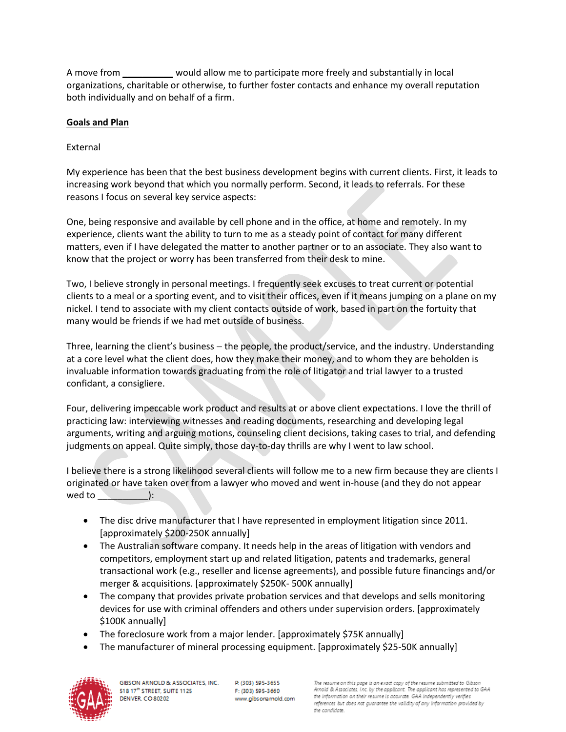A move from equil allow me to participate more freely and substantially in local organizations, charitable or otherwise, to further foster contacts and enhance my overall reputation both individually and on behalf of a firm.

### **Goals and Plan**

## **External**

My experience has been that the best business development begins with current clients. First, it leads to increasing work beyond that which you normally perform. Second, it leads to referrals. For these reasons I focus on several key service aspects:

One, being responsive and available by cell phone and in the office, at home and remotely. In my experience, clients want the ability to turn to me as a steady point of contact for many different matters, even if I have delegated the matter to another partner or to an associate. They also want to know that the project or worry has been transferred from their desk to mine.

Two, I believe strongly in personal meetings. I frequently seek excuses to treat current or potential clients to a meal or a sporting event, and to visit their offices, even if it means jumping on a plane on my nickel. I tend to associate with my client contacts outside of work, based in part on the fortuity that many would be friends if we had met outside of business.

Three, learning the client's business - the people, the product/service, and the industry. Understanding at a core level what the client does, how they make their money, and to whom they are beholden is invaluable information towards graduating from the role of litigator and trial lawyer to a trusted confidant, a consigliere.

Four, delivering impeccable work product and results at or above client expectations. I love the thrill of practicing law: interviewing witnesses and reading documents, researching and developing legal arguments, writing and arguing motions, counseling client decisions, taking cases to trial, and defending judgments on appeal. Quite simply, those day-to-day thrills are why I went to law school.

I believe there is a strong likelihood several clients will follow me to a new firm because they are clients I originated or have taken over from a lawyer who moved and went in-house (and they do not appear wed to  $\qquad$  ):

- The disc drive manufacturer that I have represented in employment litigation since 2011. [approximately \$200-250K annually]
- The Australian software company. It needs help in the areas of litigation with vendors and competitors, employment start up and related litigation, patents and trademarks, general transactional work (e.g., reseller and license agreements), and possible future financings and/or merger & acquisitions. [approximately \$250K- 500K annually]
- The company that provides private probation services and that develops and sells monitoring devices for use with criminal offenders and others under supervision orders. [approximately \$100K annually]
- The foreclosure work from a major lender. [approximately \$75K annually]
- The manufacturer of mineral processing equipment. [approximately \$25-50K annually]

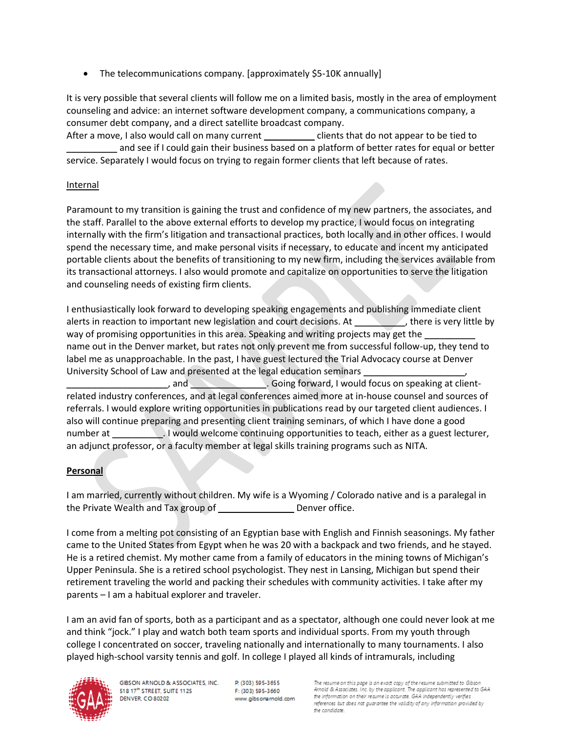The telecommunications company. [approximately \$5-10K annually]

It is very possible that several clients will follow me on a limited basis, mostly in the area of employment counseling and advice: an internet software development company, a communications company, a consumer debt company, and a direct satellite broadcast company.

After a move, I also would call on many current election of clients that do not appear to be tied to and see if I could gain their business based on a platform of better rates for equal or better service. Separately I would focus on trying to regain former clients that left because of rates.

### Internal

Paramount to my transition is gaining the trust and confidence of my new partners, the associates, and the staff. Parallel to the above external efforts to develop my practice, I would focus on integrating internally with the firm's litigation and transactional practices, both locally and in other offices. I would spend the necessary time, and make personal visits if necessary, to educate and incent my anticipated portable clients about the benefits of transitioning to my new firm, including the services available from its transactional attorneys. I also would promote and capitalize on opportunities to serve the litigation and counseling needs of existing firm clients.

I enthusiastically look forward to developing speaking engagements and publishing immediate client alerts in reaction to important new legislation and court decisions. At there is very little by way of promising opportunities in this area. Speaking and writing projects may get the \_ name out in the Denver market, but rates not only prevent me from successful follow-up, they tend to label me as unapproachable. In the past, I have guest lectured the Trial Advocacy course at Denver University School of Law and presented at the legal education seminars

, and **Example 20. Going forward, I would focus on speaking at client**related industry conferences, and at legal conferences aimed more at in-house counsel and sources of referrals. I would explore writing opportunities in publications read by our targeted client audiences. I also will continue preparing and presenting client training seminars, of which I have done a good number at **I** Nould welcome continuing opportunities to teach, either as a guest lecturer, an adjunct professor, or a faculty member at legal skills training programs such as NITA.

## **Personal**

I am married, currently without children. My wife is a Wyoming / Colorado native and is a paralegal in the Private Wealth and Tax group of \_\_\_\_\_\_\_\_\_\_\_\_\_\_\_ Denver office.

I come from a melting pot consisting of an Egyptian base with English and Finnish seasonings. My father came to the United States from Egypt when he was 20 with a backpack and two friends, and he stayed. He is a retired chemist. My mother came from a family of educators in the mining towns of Michigan's Upper Peninsula. She is a retired school psychologist. They nest in Lansing, Michigan but spend their retirement traveling the world and packing their schedules with community activities. I take after my parents – I am a habitual explorer and traveler.

I am an avid fan of sports, both as a participant and as a spectator, although one could never look at me and think "jock." I play and watch both team sports and individual sports. From my youth through college I concentrated on soccer, traveling nationally and internationally to many tournaments. I also played high-school varsity tennis and golf. In college I played all kinds of intramurals, including



GIBSON ARNOLD & ASSOCIATES, INC. 518 17th STREET, SUITE 1125 **DENVER, CO 80202** 

P. (303) 595-3655 F: (303) 595-3660 www.gibsonarnold.com

ime on this page is an exact copy of the resume submitted to Gibsor Arnold & Associates, Inc. by the applicant. The applicant has represented to GAA the information on their resume is accurate. GAA independently verifies references but does not guarantee the validity of any information provided by the candidate.